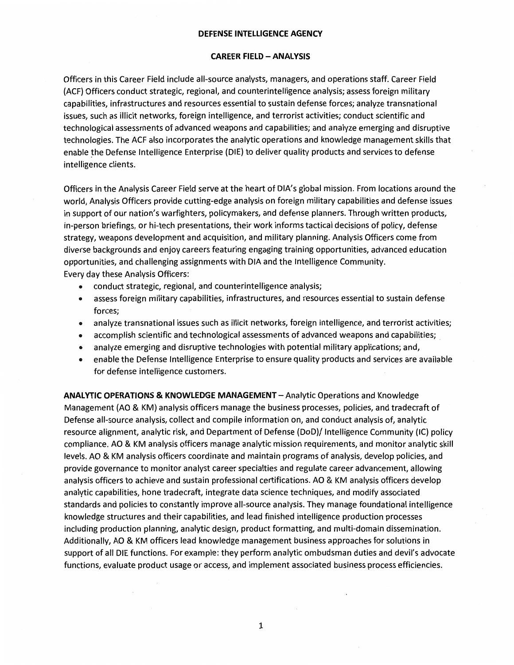### **CAREER FIELD - ANALYSIS**

Officers in this Career Field include all-source analysts, managers, and operations staff. Career Field (ACF) Officers conduct strategic, regional, and counterintelligence analysis; assess foreign military capabilities, infrastructures and resources essential to sustain defense forces; analyze transnational issues, such as illicit networks, foreign intelligence, and terrorist activities; conduct scientific and technological assessments of advanced weapons and capabilities; and analyze emerging and disruptive technologies. The ACF also incorporates the analytic operations and knowledge management skills that enable the Defense Intelligence Enterprise (DIE) to deliver quality products and services to defense intelligence clients.

Officers in the Analysis Career Field serve at the heart of DIA's global mission. From locations around the world, Analysis Officers provide cutting-edge analysis on foreign military capabilities and defense issues in support of our nation's warfighters, policymakers, and defense planners. Through written products, in-person briefings, or hi-tech presentations, their work informs tactical decisions of policy, defense strategy, weapons development and acquisition, and military planning. Analysis Officers come from diverse backgrounds and enjoy careers featuring engaging training opportunities, advanced education opportunities, and challenging assignments with DIA and the Intelligence Community. Every day these Analysis Officers:

- conduct strategic, regional, and counterintelligence analysis;
- assess foreign military capabilities, infrastructures, and resources essential to sustain defense forces;
- analyze transnational issues such as illicit networks, foreign intelligence, and terrorist activities;
- accomplish scientific and technological assessments of advanced weapons and capabilities;
- analyze emerging and disruptive technologies with potential military applications; and,
- enable the Defense Intelligence Enterprise to ensure quality products and services are available for defense intelligence customers.

**ANALYTIC OPERATIONS & KNOWLEDGE MANAGEMENT** -Analytic Operations and Knowledge Management (AO & KM) analysis officers manage the business processes, policies, and tradecraft of Defense all-source analysis, collect and compile information on, and conduct analysis of, analytic resource alignment, analytic risk, and Department of Defense (DoD)/ Intelligence Community (IC) policy compliance. AO & KM analysis officers manage analytic mission requirements, and monitor analytic skill levels. AO & KM analysis officers coordinate and maintain programs of analysis, develop policies, and provide governance to monitor analyst career specialties and regulate career advancement, allowing analysis officers to achieve and sustain professional certifications. AO & KM analysis officers develop analytic capabilities, hone tradecraft, integrate data science techniques, and modify associated standards and policies to constantly improve all-source analysis. They manage foundational intelligence knowledge structures and their capabilities, and lead finished intelligence production processes including production planning, analytic design, product formatting, and multi-domain dissemination. Additionally, AO & KM officers lead knowledge management business approaches for solutions in support of all DIE functions. For example: they perform analytic ombudsman duties and devil's advocate functions, evaluate product usage or access, and implement associated business process efficiencies.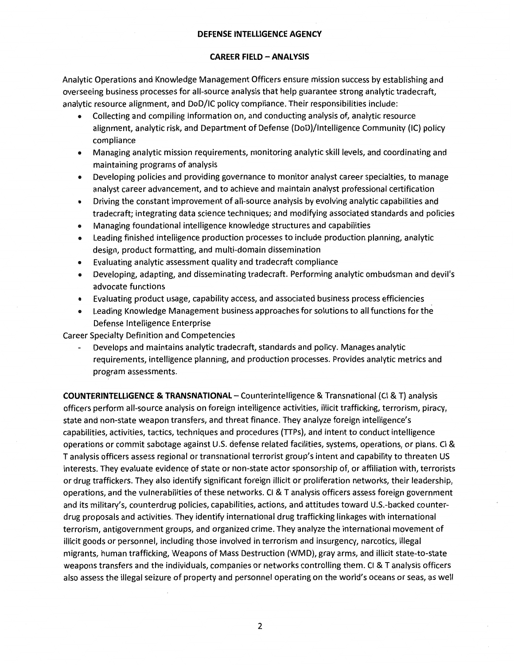### **CAREER FIELD - ANALYSIS**

Analytic Operations and Knowledge Management Officers ensure mission success by establishing and overseeing business processes for all-source analysis that help guarantee strong analytic tradecraft, analytic resource alignment, and DoD/IC policy compliance. Their responsibilities include:

- Collecting and compiling information on, and conducting analysis of, analytic resource alignment, analytic risk, and Department of Defense (DoD)/lntelligence Community (IC) policy compliance
- Managing analytic mission requirements, monitoring analytic skill levels, and coordinating and maintaining programs of analysis
- Developing policies and providing governance to monitor analyst career specialties, to manage analyst career advancement, and to achieve and maintain analyst professional certification
- Driving the constant improvement of all-source analysis by evolving analytic capabilities and tradecraft; integrating data science techniques; and modifying associated standards and policies
- Managing foundational intelligence knowledge structures and capabilities
- Leading finished intelligence production processes to include production planning, analytic design, product formatting, and multi-domain dissemination
- Evaluating analytic assessment quality and tradecraft compliance
- Developing, adapting, and disseminating tradecraft. Performing analytic ombudsman and devil's advocate functions
- Evaluating product usage, capability access, and associated business process efficiencies
- Leading Knowledge Management business approaches for solutions to all functions for the Defense Intelligence Enterprise

Career Specialty Definition and Competencies

Develops and maintains analytic tradecraft, standards and policy. Manages analytic requirements, intelligence planning, and production processes. Provides analytic metrics and program assessments.

**COUNTERINTELLIGENCE & TRANSNATIONAL** - Counterintelligence & Transnational (Cl & T) analysis officers perform all-source analysis on foreign intelligence activities, illicit trafficking, terrorism, piracy, state and non-state weapon transfers, and threat finance. They analyze foreign intelligence's capabilities, activities, tactics, techniques and procedures (TTPs), and intent to conduct intelligence operations or commit sabotage against U.S. defense related facilities, systems, operations, or plans. Cl & T analysis officers assess regional or transnational terrorist group's intent and capability to threaten US interests. They evaluate evidence of state or non-state actor sponsorship of, or affiliation with, terrorists or drug traffickers. They also identify significant foreign illicit or proliferation networks, their leadership, operations, and the vulnerabilities of these networks. Cl & T analysis officers assess foreign government and its military's, counterdrug policies, capabilities, actions, and attitudes toward U.S.-backed counterdrug proposals and activities. They identify international drug trafficking linkages with international terrorism, antigovernment groups, and organized crime. They analyze the international movement of illicit goods or personnel, including those involved in terrorism and insurgency, narcotics, illegal migrants, human trafficking, Weapons of Mass Destruction (WMD), gray arms, and illicit state-to-state weapons transfers and the individuals, companies or networks controlling them. Cl & T analysis officers also assess the illegal seizure of property and personnel operating on the world's oceans or seas, as well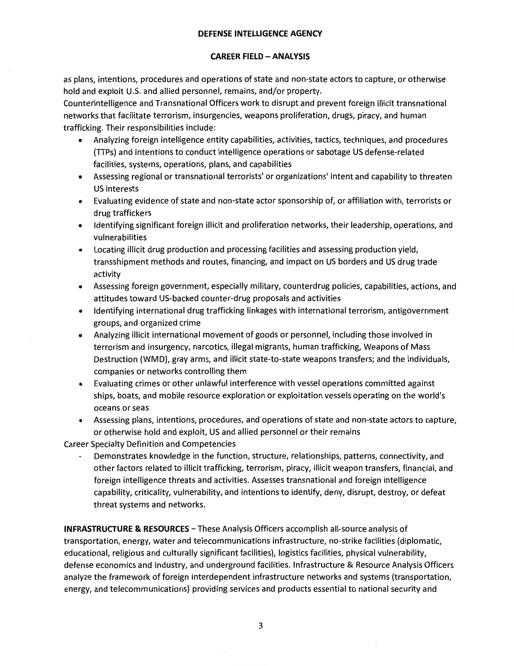# **CAREER FIELD -ANALYSIS**

as plans, intentions, procedures and operations of state and non-state actors to capture, or otherwise hold and exploit U.S. and allied personnel, remains, and/or property.

Counterintelligence and Transnational Officers work to disrupt and prevent foreign illicit transnational networks that facilitate terrorism, insurgencies, weapons proliferation, drugs, piracy, and human trafficking. Their responsibilities include:

- Analyzing foreign intelligence entity capabilities, activities, tactics, techniques, and procedures (TTPs) and intentions to conduct intelligence operations or sabotage US defense-related facilities, systems, operations, plans, and capabilities
- Assessing regional or transnational terrorists' or organizations' intent and capability to threaten US interests
- Evaluating evidence of state and non-state actor sponsorship of, or affiliation with, terrorists or drug traffickers
- Identifying significant foreign illicit and proliferation networks, their leadership, operations, and vulnerabilities
- Locating illicit drug production and processing facilities and assessing production yield, transshipment methods and routes, financing, and impact on US borders and US drug trade activity
- Assessing foreign government, especially military, counterdrug policies, capabilities, actions, and attitudes toward US-backed counter-drug proposals and activities
- Identifying international drug trafficking linkages with international terrorism, antigovernment groups, and organized crime
- Analyzing illicit international movement of goods or personnel, including those involved in terrorism and insurgency, narcotics, illegal migrants, human trafficking, Weapons of Mass Destruction (WMD), gray arms, and illicit state-to-state weapons transfers; and the individuals, companies or networks controlling them
- Evaluating crimes or other unlawful interference with vessel operations committed against ships, boats, and mobile resource exploration or exploitation vessels operating on the world's oceans or seas
- Assessing plans, intentions, procedures, and operations of state and non-state actors to capture, or otherwise hold and exploit, US and allied personnel or their remains

Career Specialty Definition and Competencies

Demonstrates knowledge in the function, structure, relationships, patterns, connectivity, and other factors related to illicit trafficking, terrorism, piracy, illicit weapon transfers, financial, and foreign intelligence threats and activities. Assesses transnational and foreign intelligence capability, criticality, vulnerability, and intentions to identify, deny, disrupt, destroy, or defeat threat systems and networks.

**INFRASTRUCTURE & RESOURCES** - These Analysis Officers accomplish all-source analysis of transportation, energy, water and telecommunications infrastructure, no-strike facilities (diplomatic, educational, religious and culturally significant facilities), logistics facilities, physical vulnerability, defense economics and industry, and underground facilities. Infrastructure & Resource Analysis Officers analyze the framework of foreign interdependent infrastructure networks and systems (transportation, energy, and telecommunications) providing services and products essential to national security and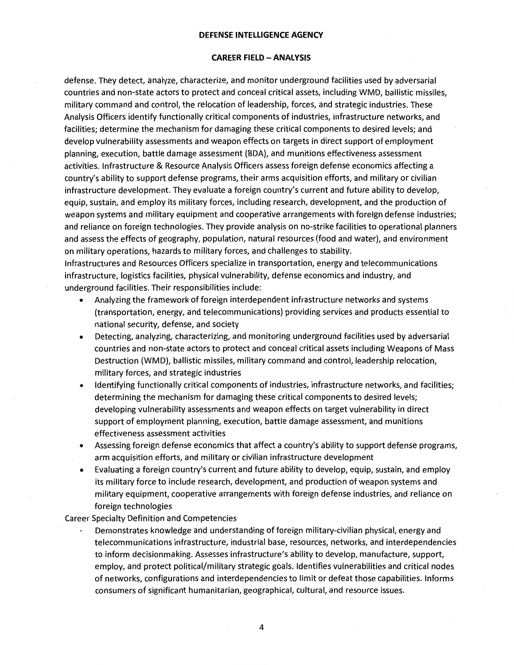#### **CAREER FIELD - ANALYSIS**

defense. They detect, analyze, characterize, and monitor underground facilities used by adversarial countries and non-state actors to protect and conceal critical assets, including WMD, ballistic missiles, military command and control, the relocation of leadership, forces, and strategic industries. These Analysis Officers identify functionally critical components of industries, infrastructure networks, and facilities; determine the mechanism for damaging these critical components to desired levels; and develop vulnerability assessments and weapon effects on targets in direct support of employment planning, execution, battle damage assessment (BDA), and munitions effectiveness assessment activities. Infrastructure & Resource Analysis Officers assess foreign defense economics affecting a country's ability to support defense programs, their arms acquisition efforts, and military or civilian infrastructure development. They evaluate a foreign country's current and future ability to develop, equip, sustain, and employ its military forces, including research, development, and the production of weapon systems and military equipment and cooperative arrangements with foreign defense industries; and reliance on foreign technologies. They provide analysis on no-strike facilities to operational planners and assess the effects of geography, population, natural resources (food and water), and environment on military operations, hazards to military forces, and challenges to stability.

Infrastructures and Resources Officers specialize in transportation, energy and telecommunications infrastructure, logistics facilities, physical vulnerability, defense economics and industry, and underground facilities. Their responsibilities include:

- Analyzing the framework of foreign interdependent infrastructure networks and systems (transportation, energy, and telecommunications) providing services and products essential to national security, defense, and society
- Detecting, analyzing, characterizing, and monitoring underground facilities used by adversarial countries and non-state actors to protect and conceal critical assets including Weapons of Mass Destruction (WMD), ballistic missiles, military command and control, leadership relocation, military forces, and strategic industries
- Identifying functionally critical components of industries, infrastructure networks, and facilities; determining the mechanism for damaging these critical components to desired levels; developing vulnerability assessments and weapon effects on target vulnerability in direct support of employment planning, execution, battle damage assessment, and munitions effectiveness assessment activities
- Assessing foreign defense economics that affect a country's ability to support defense programs, arm acquisition efforts, and military or civilian infrastructure development
- Evaluating a foreign country's current and future ability to develop, equip, sustain, and employ its military force to include research, development, and production of weapon systems and military equipment, cooperative arrangements with foreign defense industries, and reliance on foreign technologies

### Career Specialty Definition and Competencies

Demonstrates knowledge and understanding of foreign military-civilian physical, energy and telecommunications infrastructure, industrial base, resources, networks, and interdependencies to inform decisionmaking. Assesses infrastructure's ability to develop, manufacture, support, employ, and protect political/military strategic goals. Identifies vulnerabilities and critical nodes of networks, configurations and interdependencies to limit or defeat those capabilities. Informs consumers of significant humanitarian, geographical, cultural, and resource issues.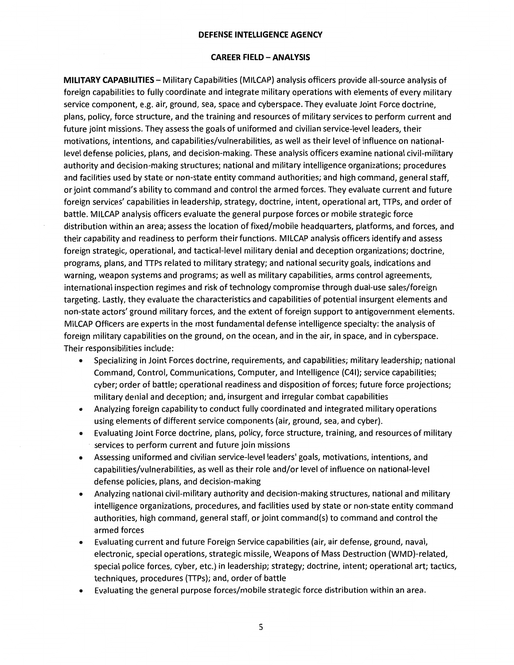#### **CAREER FIELD - ANALYSIS**

**MILITARY CAPABILITIES** - Military Capabilities (MILCAP) analysis officers provide all-source analysis of foreign capabilities to fully coordinate and integrate military operations with elements of every military service component, e.g. air, ground, sea, space and cyberspace. They evaluate Joint Force doctrine, plans, policy, force structure, and the training and resources of military services to perform current and future joint missions. They assess the goals of uniformed and civilian service-level leaders, their motivations, intentions, and capabilities/vulnerabilities, as well as their level of influence on nationallevel defense policies, plans, and decision-making. These analysis officers examine national civil-military authority and decision-making structures; national and military intelligence organizations; procedures and facilities used by state or non-state entity command authorities; and high command, general staff, or joint command's ability to command and control the armed forces. They evaluate current and future foreign services' capabilities in leadership, strategy, doctrine, intent, operational art, TTPs, and order of battle. MILCAP analysis officers evaluate the general purpose forces or mobile strategic force distribution within an area; assess the location of fixed/mobile headquarters, platforms, and forces, and their capability and readiness to perform their functions. MILCAP analysis officers identify and assess foreign strategic, operational, and tactical-level military denial and deception organizations; doctrine, programs, plans, and TTPs related to military strategy; and national security goals, indications and warning, weapon systems and programs; as well as military capabilities, arms control agreements, international inspection regimes and risk of technology compromise through dual-use sales/foreign targeting. Lastly, they evaluate the characteristics and capabilities of potential insurgent elements and non-state actors' ground military forces, and the extent of foreign support to antigovernment elements. MILCAP Officers are experts in the most fundamental defense intelligence specialty: the analysis of foreign military capabilities on the ground, on the ocean, and in the air, in space, and in cyberspace. Their responsibilities include:

- Specializing in Joint Forces doctrine, requirements, and capabilities; military leadership; national Command, Control, Communications, Computer, and Intelligence (C41); service capabilities; cyber; order of battle; operational readiness and disposition of forces; future force projections; military denial and deception; and, insurgent and irregular combat capabilities
- Analyzing foreign capability to conduct fully coordinated and integrated military operations using elements of different service components (air, ground, sea, and cyber).
- Evaluating Joint Force doctrine, plans, policy, force structure, training, and resources of military services to perform current and future join missions
- Assessing uniformed and civilian service-level leaders' goals, motivations, intentions, and capabilities/vulnerabilities, as well as their role and/or level of influence on national-level defense policies, plans, and decision-making
- Analyzing national civil-military authority and decision-making structures, national and military intelligence organizations, procedures, and facilities used by state or non-state entity command authorities, high command, general staff, or joint command(s) to command and control the armed forces
- Evaluating current and future Foreign Service capabilities (air, air defense, ground, naval, electronic, special operations, strategic missile, Weapons of Mass Destruction (WMD)-related, special police forces, cyber, etc.) in leadership; strategy; doctrine, intent; operational art; tactics, techniques, procedures (TTPs); and, order of battle
- Evaluating the general purpose forces/mobile strategic force distribution within an area.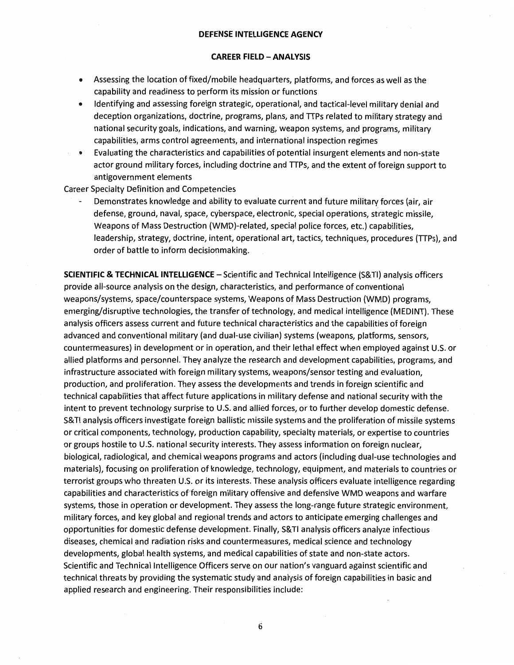### **CAREER FIELD -ANALYSIS**

- Assessing the location of fixed/mobile headquarters, platforms, and forces as well as the capability and readiness to perform its mission or functions
- Identifying and assessing foreign strategic, operational, and tactical-level military denial and deception organizations, doctrine, programs, plans, and TTPs related to military strategy and national security goals, indications, and warning, weapon systems, and programs, military capabilities, arms control agreements, and international inspection regimes
- Evaluating the characteristics and capabilities of potential insurgent elements and non-state actor ground military forces, including doctrine and TTPs, and the extent of foreign support to antigovernment elements

Career Specialty Definition and Competencies

Demonstrates knowledge and ability to evaluate current and future military forces (air, air defense, ground, naval, space, cyberspace, electronic, special operations, strategic missile, Weapons of Mass Destruction (WMD)-related, special police forces, etc.) capabilities, leadership, strategy, doctrine, intent, operational art, tactics, techniques, procedures (TTPs), and order of battle to inform decisionmaking.

**SCIENTIFIC & TECHNICAL INTELLIGENCE** - Scientific and Technical Intelligence (S& Tl) analysis officers provide all-source analysis on the design, characteristics, and performance of conventional weapons/systems, space/counterspace systems, Weapons of Mass Destruction (WMD) programs, emerging/disruptive technologies, the transfer of technology, and medical intelligence (MEDINT). These analysis officers assess current and future technical characteristics and the capabilities of foreign advanced and conventional military (and dual-use civilian) systems (weapons, platforms, sensors, countermeasures) in development or in operation, and their lethal effect when employed against U.S. or allied platforms and personnel. They analyze the research and development capabilities, programs, and infrastructure associated with foreign military systems, weapons/sensor testing and evaluation, production, and proliferation. They assess the developments and trends in foreign scientific and technical capabilities that affect future applications in military defense and national security with the intent to prevent technology surprise to U.S. and allied forces, or to further develop domestic defense. S& Tl analysis officers investigate foreign ballistic missile systems and the proliferation of missile systems or critical components, technology, production capability, specialty materials, or expertise to countries or groups hostile to U.S. national security interests. They assess information on foreign nuclear, biological, radiological, and chemical weapons programs and actors (including dual-use technologies and materials), focusing on proliferation of knowledge, technology, equipment, and materials to countries or terrorist groups who threaten U.S. or its interests. These analysis officers evaluate intelligence regarding capabilities and characteristics of foreign military offensive and defensive WMD weapons and warfare systems, those in operation or development. They assess the long-range future strategic environment, military forces, and key global and regional trends and actors to anticipate emerging challenges and opportunities for domestic defense development. Finally, S& Tl analysis officers analyze infectious diseases, chemical and radiation risks and countermeasures, medical science and technology developments, global health systems, and medical capabilities of state and non-state actors. Scientific and Technical Intelligence Officers serve on our nation's vanguard against scientific and technical threats by providing the systematic study and analysis of foreign capabilities in basic and applied research and engineering. Their responsibilities include: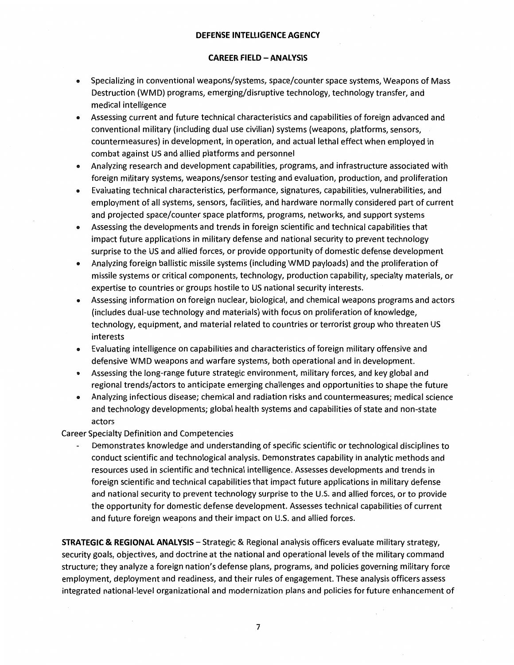### **CAREER FIELD -ANALYSIS**

- Specializing in conventional weapons/systems, space/counter space systems, Weapons of Mass Destruction (WMD) programs, emerging/disruptive technology, technology transfer, and medical intelligence
- Assessing current and future technical characteristics and capabilities of foreign advanced and conventional military (including dual use civilian) systems (weapons, platforms, sensors, countermeasures) in development, in operation, and actual lethal effect when employed in combat against US and allied platforms and personnel
- Analyzing research and development capabilities, programs, and infrastructure associated with foreign military systems, weapons/sensor testing and evaluation, production, and proliferation
- Evaluating technical characteristics, performance, signatures, capabilities, vulnerabilities, and employment of all systems, sensors, facilities, and hardware normally considered part of current and projected space/counter space platforms, programs, networks, and support systems
- Assessing the developments and trends in foreign scientific and technical capabilities that impact future applications in military defense and national security to prevent technology surprise to the US and allied forces, or provide opportunity of domestic defense development
- Analyzing foreign ballistic missile systems (including WMD payloads) and the proliferation of missile systems or critical components, technology, production capability, specialty materials, or expertise to countries or groups hostile to US national security interests.
- Assessing information on foreign nuclear, biological, and chemical weapons programs and actors (includes dual-use technology and materials) with focus on proliferation of knowledge, technology, equipment, and material related to countries or terrorist group who threaten US interests
- Evaluating intelligence on capabilities and characteristics of foreign military offensive and defensive WMD weapons and warfare systems, both operational and in development.
- Assessing the long-range future strategic environment, military forces, and key global and regional trends/actors to anticipate emerging challenges and opportunities to shape the future
- Analyzing infectious disease; chemical and radiation risks and countermeasures; medical science and technology developments; global health systems and capabilities of state and non-state actors

Career Specialty Definition and Competencies

Demonstrates knowledge and understanding of specific scientific or technological disciplines to conduct scientific and technological analysis. Demonstrates capability in analytic methods and resources used in scientific and technical intelligence. Assesses developments and trends in foreign scientific and technical capabilities that impact future applications in military defense and national security to prevent technology surprise to the U.S. and allied forces, or to provide the opportunity for domestic defense development. Assesses technical capabilities of current and future foreign weapons and their impact on U.S. and allied forces.

**STRATEGIC & REGIONAL ANALYSIS-** Strategic & Regional analysis officers evaluate military strategy, security goals, objectives, and doctrine at the national and operational levels of the military command structure; they analyze a foreign nation's defense plans, programs, and policies governing military force employment, deployment and readiness, and their rules of engagement. These analysis officers assess integrated national-level organizational and modernization plans and policies for future enhancement of

7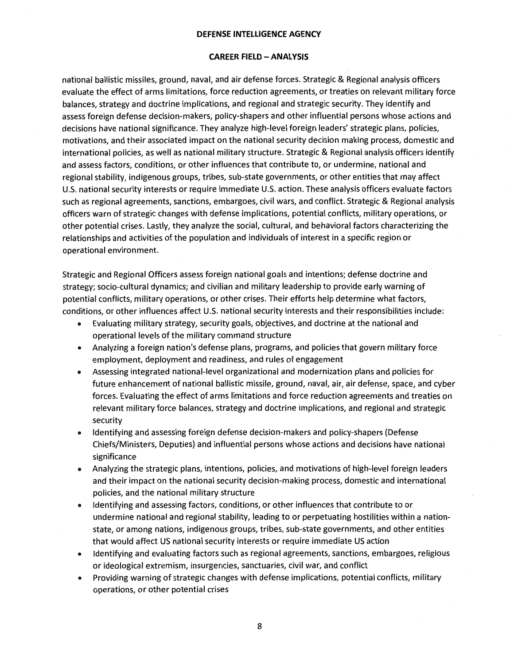#### **CAREER FIELD - ANALYSIS**

national ballistic missiles, ground, naval, and air defense forces. Strategic & Regional analysis officers evaluate the effect of arms limitations, force reduction agreements, or treaties on relevant military force balances, strategy and doctrine implications, and regional and strategic security. They identify and assess foreign defense decision-makers, policy-shapers and other influential persons whose actions and decisions have national significance. They analyze high-level foreign leaders' strategic plans, policies, motivations, and their associated impact on the national security decision making process, domestic and international policies, as well as national military structure. Strategic & Regional analysis officers identify and assess factors, conditions, or other influences that contribute to, or undermine, national and regional stability, indigenous groups, tribes, sub-state governments, or other entities that may affect U.S. national security interests or require immediate U.S. action. These analysis officers evaluate factors such as regional agreements, sanctions, embargoes, civil wars, and conflict. Strategic & Regional analysis officers warn of strategic changes with defense implications, potential conflicts, military operations, or other potential crises. Lastly, they analyze the social, cultural, and behavioral factors characterizing the relationships and activities of the population and individuals of interest in a specific region or operational environment.

Strategic and Regional Officers assess foreign national goals and intentions; defense doctrine and strategy; socio-cultural dynamics; and civilian and military leadership to provide early warning of potential conflicts, military operations, or other crises. Their efforts help determine what factors, conditions, or other influences affect U.S. national security interests and their responsibilities include:

- Evaluating military strategy, security goals, objectives, and doctrine at the national and operational levels of the military command structure
- Analyzing a foreign nation's defense plans, programs, and policies that govern military force employment, deployment and readiness, and rules of engagement
- Assessing integrated national-level organizational and modernization plans and policies for future enhancement of national ballistic missile, ground, naval, air, air defense, space, and cyber forces. Evaluating the effect of arms limitations and force reduction agreements and treaties on relevant military force balances, strategy and doctrine implications, and regional and strategic security
- Identifying and assessing foreign defense decision-makers and policy-shapers (Defense Chiefs/Ministers, Deputies) and influential persons whose actions and decisions have national significance
- Analyzing the strategic plans, intentions, policies, and motivations of high-level foreign leaders and their impact on the national security decision-making process, domestic and international policies, and the national military structure
- Identifying and assessing factors, conditions, or other influences that contribute to or undermine national and regional stability, leading to or perpetuating hostilities within a nationstate, or among nations, indigenous groups, tribes, sub-state governments, and other entities that would affect US national security interests or require immediate US action
- Identifying and evaluating factors such as regional agreements, sanctions, embargoes, religious or ideological extremism, insurgencies, sanctuaries, civil war, and conflict
- Providing warning of strategic changes with defense implications, potential conflicts, military operations, or other potential crises